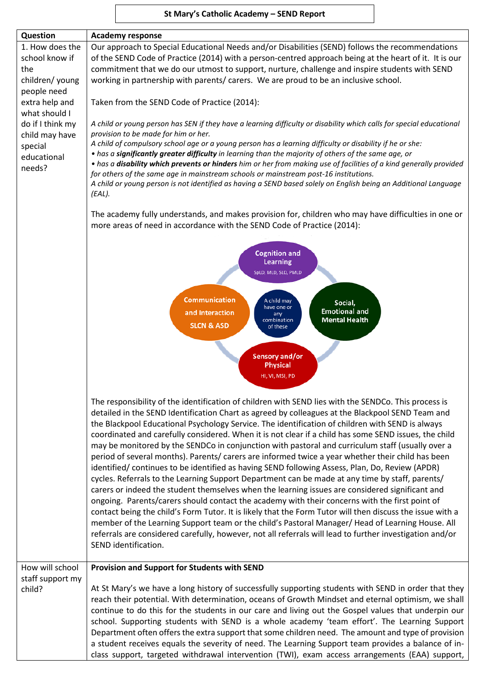# **St Mary's Catholic Academy – SEND Report**

| Question                        | <b>Academy response</b>                                                                                                                                                                                     |
|---------------------------------|-------------------------------------------------------------------------------------------------------------------------------------------------------------------------------------------------------------|
| 1. How does the                 | Our approach to Special Educational Needs and/or Disabilities (SEND) follows the recommendations                                                                                                            |
| school know if                  | of the SEND Code of Practice (2014) with a person-centred approach being at the heart of it. It is our                                                                                                      |
| the                             | commitment that we do our utmost to support, nurture, challenge and inspire students with SEND                                                                                                              |
| children/ young                 | working in partnership with parents/ carers. We are proud to be an inclusive school.                                                                                                                        |
| people need                     |                                                                                                                                                                                                             |
| extra help and<br>what should I | Taken from the SEND Code of Practice (2014):                                                                                                                                                                |
| do if I think my                | A child or young person has SEN if they have a learning difficulty or disability which calls for special educational                                                                                        |
| child may have                  | provision to be made for him or her.                                                                                                                                                                        |
| special                         | A child of compulsory school age or a young person has a learning difficulty or disability if he or she:                                                                                                    |
| educational                     | . has a significantly greater difficulty in learning than the majority of others of the same age, or                                                                                                        |
| needs?                          | • has a disability which prevents or hinders him or her from making use of facilities of a kind generally provided                                                                                          |
|                                 | for others of the same age in mainstream schools or mainstream post-16 institutions.<br>A child or young person is not identified as having a SEND based solely on English being an Additional Language     |
|                                 | $(EAL)$ .                                                                                                                                                                                                   |
|                                 |                                                                                                                                                                                                             |
|                                 | The academy fully understands, and makes provision for, children who may have difficulties in one or                                                                                                        |
|                                 | more areas of need in accordance with the SEND Code of Practice (2014):                                                                                                                                     |
|                                 |                                                                                                                                                                                                             |
|                                 | <b>Cognition and</b>                                                                                                                                                                                        |
|                                 | <b>Learning</b>                                                                                                                                                                                             |
|                                 | SpLD, MLD, SLD, PMLD                                                                                                                                                                                        |
|                                 |                                                                                                                                                                                                             |
|                                 | <b>Communication</b><br>A child may<br>Social,                                                                                                                                                              |
|                                 | have one or<br><b>Emotional and</b><br>and Interaction<br>any                                                                                                                                               |
|                                 | <b>Mental Health</b><br>combination<br><b>SLCN &amp; ASD</b><br>of these                                                                                                                                    |
|                                 |                                                                                                                                                                                                             |
|                                 |                                                                                                                                                                                                             |
|                                 | <b>Sensory and/or</b><br><b>Physical</b>                                                                                                                                                                    |
|                                 | HI, VI, MSI, PD                                                                                                                                                                                             |
|                                 |                                                                                                                                                                                                             |
|                                 | The responsibility of the identification of children with SEND lies with the SENDCo. This process is                                                                                                        |
|                                 | detailed in the SEND Identification Chart as agreed by colleagues at the Blackpool SEND Team and                                                                                                            |
|                                 | the Blackpool Educational Psychology Service. The identification of children with SEND is always                                                                                                            |
|                                 | coordinated and carefully considered. When it is not clear if a child has some SEND issues, the child                                                                                                       |
|                                 | may be monitored by the SENDCo in conjunction with pastoral and curriculum staff (usually over a                                                                                                            |
|                                 | period of several months). Parents/ carers are informed twice a year whether their child has been                                                                                                           |
|                                 | identified/ continues to be identified as having SEND following Assess, Plan, Do, Review (APDR)                                                                                                             |
|                                 | cycles. Referrals to the Learning Support Department can be made at any time by staff, parents/                                                                                                             |
|                                 | carers or indeed the student themselves when the learning issues are considered significant and                                                                                                             |
|                                 | ongoing. Parents/carers should contact the academy with their concerns with the first point of<br>contact being the child's Form Tutor. It is likely that the Form Tutor will then discuss the issue with a |
|                                 | member of the Learning Support team or the child's Pastoral Manager/ Head of Learning House. All                                                                                                            |
|                                 | referrals are considered carefully, however, not all referrals will lead to further investigation and/or                                                                                                    |
|                                 | SEND identification.                                                                                                                                                                                        |
|                                 |                                                                                                                                                                                                             |
| How will school                 | Provision and Support for Students with SEND                                                                                                                                                                |
| staff support my                |                                                                                                                                                                                                             |
| child?                          | At St Mary's we have a long history of successfully supporting students with SEND in order that they                                                                                                        |
|                                 | reach their potential. With determination, oceans of Growth Mindset and eternal optimism, we shall                                                                                                          |
|                                 | continue to do this for the students in our care and living out the Gospel values that underpin our                                                                                                         |
|                                 | school. Supporting students with SEND is a whole academy 'team effort'. The Learning Support                                                                                                                |
|                                 | Department often offers the extra support that some children need. The amount and type of provision<br>a student receives equals the severity of need. The Learning Support team provides a balance of in-  |
|                                 | class support, targeted withdrawal intervention (TWI), exam access arrangements (EAA) support,                                                                                                              |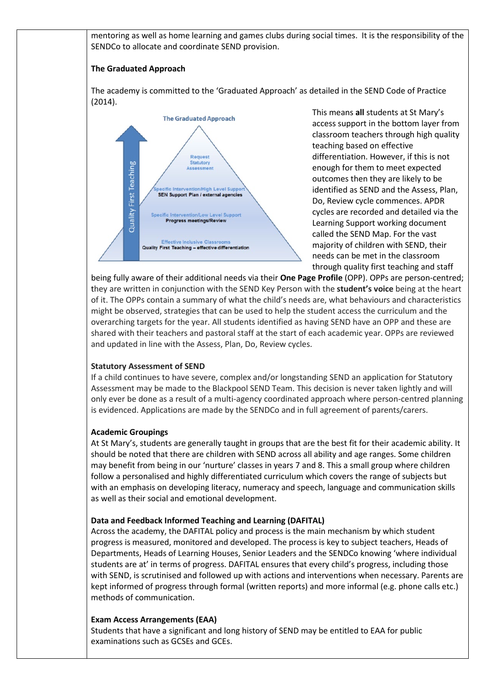mentoring as well as home learning and games clubs during social times. It is the responsibility of the SENDCo to allocate and coordinate SEND provision.

## **The Graduated Approach**

The academy is committed to the 'Graduated Approach' as detailed in the SEND Code of Practice (2014).



This means **all** students at St Mary's access support in the bottom layer from classroom teachers through high quality teaching based on effective differentiation. However, if this is not enough for them to meet expected outcomes then they are likely to be identified as SEND and the Assess, Plan, Do, Review cycle commences. APDR cycles are recorded and detailed via the Learning Support working document called the SEND Map. For the vast majority of children with SEND, their needs can be met in the classroom through quality first teaching and staff

being fully aware of their additional needs via their **One Page Profile** (OPP). OPPs are person-centred; they are written in conjunction with the SEND Key Person with the **student's voice** being at the heart of it. The OPPs contain a summary of what the child's needs are, what behaviours and characteristics might be observed, strategies that can be used to help the student access the curriculum and the overarching targets for the year. All students identified as having SEND have an OPP and these are shared with their teachers and pastoral staff at the start of each academic year. OPPs are reviewed and updated in line with the Assess, Plan, Do, Review cycles.

### **Statutory Assessment of SEND**

If a child continues to have severe, complex and/or longstanding SEND an application for Statutory Assessment may be made to the Blackpool SEND Team. This decision is never taken lightly and will only ever be done as a result of a multi-agency coordinated approach where person-centred planning is evidenced. Applications are made by the SENDCo and in full agreement of parents/carers.

## **Academic Groupings**

At St Mary's, students are generally taught in groups that are the best fit for their academic ability. It should be noted that there are children with SEND across all ability and age ranges. Some children may benefit from being in our 'nurture' classes in years 7 and 8. This a small group where children follow a personalised and highly differentiated curriculum which covers the range of subjects but with an emphasis on developing literacy, numeracy and speech, language and communication skills as well as their social and emotional development.

### **Data and Feedback Informed Teaching and Learning (DAFITAL)**

Across the academy, the DAFITAL policy and process is the main mechanism by which student progress is measured, monitored and developed. The process is key to subject teachers, Heads of Departments, Heads of Learning Houses, Senior Leaders and the SENDCo knowing 'where individual students are at' in terms of progress. DAFITAL ensures that every child's progress, including those with SEND, is scrutinised and followed up with actions and interventions when necessary. Parents are kept informed of progress through formal (written reports) and more informal (e.g. phone calls etc.) methods of communication.

### **Exam Access Arrangements (EAA)**

Students that have a significant and long history of SEND may be entitled to EAA for public examinations such as GCSEs and GCEs.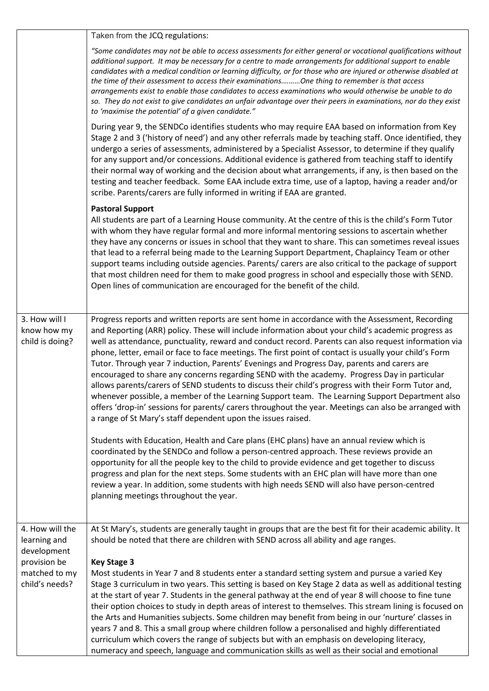|                                                                                                   | Taken from the JCQ regulations:                                                                                                                                                                                                                                                                                                                                                                                                                                                                                                                                                                                                                                                                                                                                                                                                                                                                                                                                                                          |
|---------------------------------------------------------------------------------------------------|----------------------------------------------------------------------------------------------------------------------------------------------------------------------------------------------------------------------------------------------------------------------------------------------------------------------------------------------------------------------------------------------------------------------------------------------------------------------------------------------------------------------------------------------------------------------------------------------------------------------------------------------------------------------------------------------------------------------------------------------------------------------------------------------------------------------------------------------------------------------------------------------------------------------------------------------------------------------------------------------------------|
|                                                                                                   | "Some candidates may not be able to access assessments for either general or vocational qualifications without<br>additional support. It may be necessary for a centre to made arrangements for additional support to enable<br>candidates with a medical condition or learning difficulty, or for those who are injured or otherwise disabled at<br>the time of their assessment to access their examinationsOne thing to remember is that access<br>arrangements exist to enable those candidates to access examinations who would otherwise be unable to do<br>so. They do not exist to give candidates an unfair advantage over their peers in examinations, nor do they exist<br>to 'maximise the potential' of a given candidate."                                                                                                                                                                                                                                                                 |
| 3. How will I<br>know how my<br>child is doing?                                                   | During year 9, the SENDCo identifies students who may require EAA based on information from Key<br>Stage 2 and 3 ('history of need') and any other referrals made by teaching staff. Once identified, they<br>undergo a series of assessments, administered by a Specialist Assessor, to determine if they qualify<br>for any support and/or concessions. Additional evidence is gathered from teaching staff to identify<br>their normal way of working and the decision about what arrangements, if any, is then based on the<br>testing and teacher feedback. Some EAA include extra time, use of a laptop, having a reader and/or<br>scribe. Parents/carers are fully informed in writing if EAA are granted.                                                                                                                                                                                                                                                                                        |
|                                                                                                   | <b>Pastoral Support</b><br>All students are part of a Learning House community. At the centre of this is the child's Form Tutor<br>with whom they have regular formal and more informal mentoring sessions to ascertain whether<br>they have any concerns or issues in school that they want to share. This can sometimes reveal issues<br>that lead to a referral being made to the Learning Support Department, Chaplaincy Team or other<br>support teams including outside agencies. Parents/ carers are also critical to the package of support<br>that most children need for them to make good progress in school and especially those with SEND.<br>Open lines of communication are encouraged for the benefit of the child.                                                                                                                                                                                                                                                                      |
|                                                                                                   | Progress reports and written reports are sent home in accordance with the Assessment, Recording<br>and Reporting (ARR) policy. These will include information about your child's academic progress as<br>well as attendance, punctuality, reward and conduct record. Parents can also request information via<br>phone, letter, email or face to face meetings. The first point of contact is usually your child's Form<br>Tutor. Through year 7 induction, Parents' Evenings and Progress Day, parents and carers are<br>encouraged to share any concerns regarding SEND with the academy. Progress Day in particular<br>allows parents/carers of SEND students to discuss their child's progress with their Form Tutor and,<br>whenever possible, a member of the Learning Support team. The Learning Support Department also<br>offers 'drop-in' sessions for parents/ carers throughout the year. Meetings can also be arranged with<br>a range of St Mary's staff dependent upon the issues raised. |
|                                                                                                   | Students with Education, Health and Care plans (EHC plans) have an annual review which is<br>coordinated by the SENDCo and follow a person-centred approach. These reviews provide an<br>opportunity for all the people key to the child to provide evidence and get together to discuss<br>progress and plan for the next steps. Some students with an EHC plan will have more than one<br>review a year. In addition, some students with high needs SEND will also have person-centred<br>planning meetings throughout the year.                                                                                                                                                                                                                                                                                                                                                                                                                                                                       |
| 4. How will the<br>learning and<br>development<br>provision be<br>matched to my<br>child's needs? | At St Mary's, students are generally taught in groups that are the best fit for their academic ability. It<br>should be noted that there are children with SEND across all ability and age ranges.                                                                                                                                                                                                                                                                                                                                                                                                                                                                                                                                                                                                                                                                                                                                                                                                       |
|                                                                                                   | <b>Key Stage 3</b><br>Most students in Year 7 and 8 students enter a standard setting system and pursue a varied Key<br>Stage 3 curriculum in two years. This setting is based on Key Stage 2 data as well as additional testing<br>at the start of year 7. Students in the general pathway at the end of year 8 will choose to fine tune<br>their option choices to study in depth areas of interest to themselves. This stream lining is focused on<br>the Arts and Humanities subjects. Some children may benefit from being in our 'nurture' classes in<br>years 7 and 8. This a small group where children follow a personalised and highly differentiated<br>curriculum which covers the range of subjects but with an emphasis on developing literacy,<br>numeracy and speech, language and communication skills as well as their social and emotional                                                                                                                                            |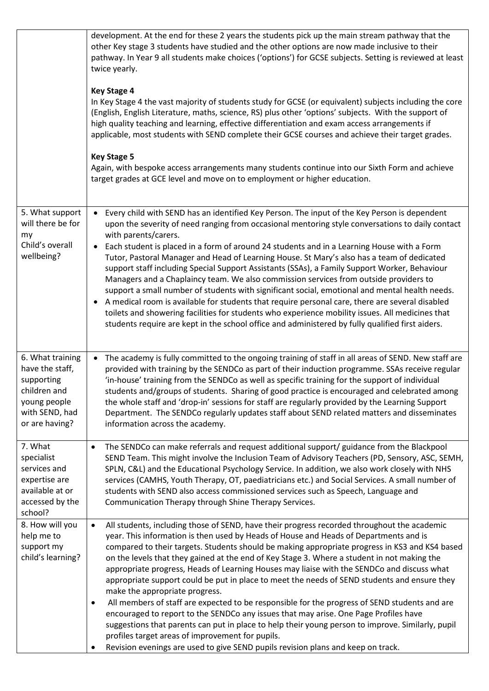|                                                                                                                       | development. At the end for these 2 years the students pick up the main stream pathway that the<br>other Key stage 3 students have studied and the other options are now made inclusive to their<br>pathway. In Year 9 all students make choices ('options') for GCSE subjects. Setting is reviewed at least<br>twice yearly.<br><b>Key Stage 4</b><br>In Key Stage 4 the vast majority of students study for GCSE (or equivalent) subjects including the core<br>(English, English Literature, maths, science, RS) plus other 'options' subjects. With the support of<br>high quality teaching and learning, effective differentiation and exam access arrangements if<br>applicable, most students with SEND complete their GCSE courses and achieve their target grades.<br><b>Key Stage 5</b><br>Again, with bespoke access arrangements many students continue into our Sixth Form and achieve<br>target grades at GCE level and move on to employment or higher education.                                                                                                      |
|-----------------------------------------------------------------------------------------------------------------------|---------------------------------------------------------------------------------------------------------------------------------------------------------------------------------------------------------------------------------------------------------------------------------------------------------------------------------------------------------------------------------------------------------------------------------------------------------------------------------------------------------------------------------------------------------------------------------------------------------------------------------------------------------------------------------------------------------------------------------------------------------------------------------------------------------------------------------------------------------------------------------------------------------------------------------------------------------------------------------------------------------------------------------------------------------------------------------------|
| 5. What support<br>will there be for<br>my<br>Child's overall<br>wellbeing?                                           | Every child with SEND has an identified Key Person. The input of the Key Person is dependent<br>$\bullet$<br>upon the severity of need ranging from occasional mentoring style conversations to daily contact<br>with parents/carers.<br>Each student is placed in a form of around 24 students and in a Learning House with a Form<br>Tutor, Pastoral Manager and Head of Learning House. St Mary's also has a team of dedicated<br>support staff including Special Support Assistants (SSAs), a Family Support Worker, Behaviour<br>Managers and a Chaplaincy team. We also commission services from outside providers to<br>support a small number of students with significant social, emotional and mental health needs.<br>A medical room is available for students that require personal care, there are several disabled<br>toilets and showering facilities for students who experience mobility issues. All medicines that<br>students require are kept in the school office and administered by fully qualified first aiders.                                              |
| 6. What training<br>have the staff,<br>supporting<br>children and<br>young people<br>with SEND, had<br>or are having? | The academy is fully committed to the ongoing training of staff in all areas of SEND. New staff are<br>$\bullet$<br>provided with training by the SENDCo as part of their induction programme. SSAs receive regular<br>'in-house' training from the SENDCo as well as specific training for the support of individual<br>students and/groups of students. Sharing of good practice is encouraged and celebrated among<br>the whole staff and 'drop-in' sessions for staff are regularly provided by the Learning Support<br>Department. The SENDCo regularly updates staff about SEND related matters and disseminates<br>information across the academy.                                                                                                                                                                                                                                                                                                                                                                                                                             |
| 7. What<br>specialist<br>services and<br>expertise are<br>available at or<br>accessed by the<br>school?               | The SENDCo can make referrals and request additional support/ guidance from the Blackpool<br>$\bullet$<br>SEND Team. This might involve the Inclusion Team of Advisory Teachers (PD, Sensory, ASC, SEMH,<br>SPLN, C&L) and the Educational Psychology Service. In addition, we also work closely with NHS<br>services (CAMHS, Youth Therapy, OT, paediatricians etc.) and Social Services. A small number of<br>students with SEND also access commissioned services such as Speech, Language and<br>Communication Therapy through Shine Therapy Services.                                                                                                                                                                                                                                                                                                                                                                                                                                                                                                                            |
| 8. How will you<br>help me to<br>support my<br>child's learning?                                                      | All students, including those of SEND, have their progress recorded throughout the academic<br>$\bullet$<br>year. This information is then used by Heads of House and Heads of Departments and is<br>compared to their targets. Students should be making appropriate progress in KS3 and KS4 based<br>on the levels that they gained at the end of Key Stage 3. Where a student in not making the<br>appropriate progress, Heads of Learning Houses may liaise with the SENDCo and discuss what<br>appropriate support could be put in place to meet the needs of SEND students and ensure they<br>make the appropriate progress.<br>All members of staff are expected to be responsible for the progress of SEND students and are<br>$\bullet$<br>encouraged to report to the SENDCo any issues that may arise. One Page Profiles have<br>suggestions that parents can put in place to help their young person to improve. Similarly, pupil<br>profiles target areas of improvement for pupils.<br>Revision evenings are used to give SEND pupils revision plans and keep on track. |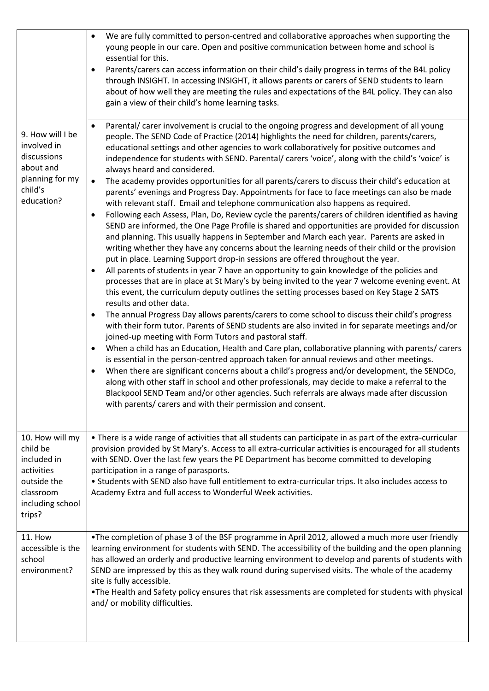|                                                                                                                    | We are fully committed to person-centred and collaborative approaches when supporting the<br>$\bullet$<br>young people in our care. Open and positive communication between home and school is<br>essential for this.<br>Parents/carers can access information on their child's daily progress in terms of the B4L policy<br>through INSIGHT. In accessing INSIGHT, it allows parents or carers of SEND students to learn<br>about of how well they are meeting the rules and expectations of the B4L policy. They can also<br>gain a view of their child's home learning tasks.                                                                                                                                                                                                                                                                                                                                                                                                                                                                                                                                                                                                                                                                                                                                                                                                                                                                                                                                                                                                                                                                                                                                                                                                                                                                                                                                                                                                                                                                                                                                                                                                                                                                                                                                                                                                                                                                       |
|--------------------------------------------------------------------------------------------------------------------|--------------------------------------------------------------------------------------------------------------------------------------------------------------------------------------------------------------------------------------------------------------------------------------------------------------------------------------------------------------------------------------------------------------------------------------------------------------------------------------------------------------------------------------------------------------------------------------------------------------------------------------------------------------------------------------------------------------------------------------------------------------------------------------------------------------------------------------------------------------------------------------------------------------------------------------------------------------------------------------------------------------------------------------------------------------------------------------------------------------------------------------------------------------------------------------------------------------------------------------------------------------------------------------------------------------------------------------------------------------------------------------------------------------------------------------------------------------------------------------------------------------------------------------------------------------------------------------------------------------------------------------------------------------------------------------------------------------------------------------------------------------------------------------------------------------------------------------------------------------------------------------------------------------------------------------------------------------------------------------------------------------------------------------------------------------------------------------------------------------------------------------------------------------------------------------------------------------------------------------------------------------------------------------------------------------------------------------------------------------------------------------------------------------------------------------------------------|
| 9. How will I be<br>involved in<br>discussions<br>about and<br>planning for my<br>child's<br>education?            | Parental/ carer involvement is crucial to the ongoing progress and development of all young<br>$\bullet$<br>people. The SEND Code of Practice (2014) highlights the need for children, parents/carers,<br>educational settings and other agencies to work collaboratively for positive outcomes and<br>independence for students with SEND. Parental/ carers 'voice', along with the child's 'voice' is<br>always heard and considered.<br>The academy provides opportunities for all parents/carers to discuss their child's education at<br>$\bullet$<br>parents' evenings and Progress Day. Appointments for face to face meetings can also be made<br>with relevant staff. Email and telephone communication also happens as required.<br>Following each Assess, Plan, Do, Review cycle the parents/carers of children identified as having<br>$\bullet$<br>SEND are informed, the One Page Profile is shared and opportunities are provided for discussion<br>and planning. This usually happens in September and March each year. Parents are asked in<br>writing whether they have any concerns about the learning needs of their child or the provision<br>put in place. Learning Support drop-in sessions are offered throughout the year.<br>All parents of students in year 7 have an opportunity to gain knowledge of the policies and<br>processes that are in place at St Mary's by being invited to the year 7 welcome evening event. At<br>this event, the curriculum deputy outlines the setting processes based on Key Stage 2 SATS<br>results and other data.<br>The annual Progress Day allows parents/carers to come school to discuss their child's progress<br>$\bullet$<br>with their form tutor. Parents of SEND students are also invited in for separate meetings and/or<br>joined-up meeting with Form Tutors and pastoral staff.<br>When a child has an Education, Health and Care plan, collaborative planning with parents/ carers<br>$\bullet$<br>is essential in the person-centred approach taken for annual reviews and other meetings.<br>When there are significant concerns about a child's progress and/or development, the SENDCo,<br>$\bullet$<br>along with other staff in school and other professionals, may decide to make a referral to the<br>Blackpool SEND Team and/or other agencies. Such referrals are always made after discussion<br>with parents/ carers and with their permission and consent. |
| 10. How will my<br>child be<br>included in<br>activities<br>outside the<br>classroom<br>including school<br>trips? | • There is a wide range of activities that all students can participate in as part of the extra-curricular<br>provision provided by St Mary's. Access to all extra-curricular activities is encouraged for all students<br>with SEND. Over the last few years the PE Department has become committed to developing<br>participation in a range of parasports.<br>. Students with SEND also have full entitlement to extra-curricular trips. It also includes access to<br>Academy Extra and full access to Wonderful Week activities.                                                                                                                                                                                                                                                                                                                                                                                                                                                                                                                                                                                                                                                                                                                                                                                                                                                                                                                                                                                                                                                                                                                                                                                                                                                                                                                                                                                                                                                                                                                                                                                                                                                                                                                                                                                                                                                                                                                  |
| <b>11. How</b><br>accessible is the<br>school<br>environment?                                                      | •The completion of phase 3 of the BSF programme in April 2012, allowed a much more user friendly<br>learning environment for students with SEND. The accessibility of the building and the open planning<br>has allowed an orderly and productive learning environment to develop and parents of students with<br>SEND are impressed by this as they walk round during supervised visits. The whole of the academy<br>site is fully accessible.<br>. The Health and Safety policy ensures that risk assessments are completed for students with physical<br>and/ or mobility difficulties.                                                                                                                                                                                                                                                                                                                                                                                                                                                                                                                                                                                                                                                                                                                                                                                                                                                                                                                                                                                                                                                                                                                                                                                                                                                                                                                                                                                                                                                                                                                                                                                                                                                                                                                                                                                                                                                             |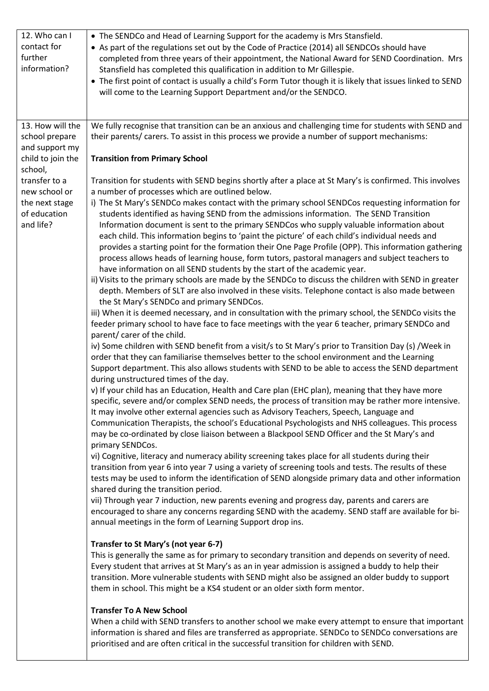| 12. Who can I<br>contact for<br>further<br>information?                                  | • The SENDCo and Head of Learning Support for the academy is Mrs Stansfield.<br>• As part of the regulations set out by the Code of Practice (2014) all SENDCOs should have<br>completed from three years of their appointment, the National Award for SEND Coordination. Mrs<br>Stansfield has completed this qualification in addition to Mr Gillespie.<br>• The first point of contact is usually a child's Form Tutor though it is likely that issues linked to SEND<br>will come to the Learning Support Department and/or the SENDCO.                                                                                                                                                                                                                                                                                                                                                                                                                                                                                                                                                                                                                                                                                                                                                                                                                                                                                                                                                                                                                                                                                                                                                                                                                                                                                                                                                                                                                                                                                                                                                                                                                                                                                                                                                                                                                                                                                                                                                                                                                                                                                                                                                                                                                                                                                                                                                                                                                                                                                                                                                                                                                                                                                                                                                                                                                                                                                                                                                                                                         |
|------------------------------------------------------------------------------------------|-----------------------------------------------------------------------------------------------------------------------------------------------------------------------------------------------------------------------------------------------------------------------------------------------------------------------------------------------------------------------------------------------------------------------------------------------------------------------------------------------------------------------------------------------------------------------------------------------------------------------------------------------------------------------------------------------------------------------------------------------------------------------------------------------------------------------------------------------------------------------------------------------------------------------------------------------------------------------------------------------------------------------------------------------------------------------------------------------------------------------------------------------------------------------------------------------------------------------------------------------------------------------------------------------------------------------------------------------------------------------------------------------------------------------------------------------------------------------------------------------------------------------------------------------------------------------------------------------------------------------------------------------------------------------------------------------------------------------------------------------------------------------------------------------------------------------------------------------------------------------------------------------------------------------------------------------------------------------------------------------------------------------------------------------------------------------------------------------------------------------------------------------------------------------------------------------------------------------------------------------------------------------------------------------------------------------------------------------------------------------------------------------------------------------------------------------------------------------------------------------------------------------------------------------------------------------------------------------------------------------------------------------------------------------------------------------------------------------------------------------------------------------------------------------------------------------------------------------------------------------------------------------------------------------------------------------------------------------------------------------------------------------------------------------------------------------------------------------------------------------------------------------------------------------------------------------------------------------------------------------------------------------------------------------------------------------------------------------------------------------------------------------------------------------------------------------------------------------------------------------------------------------------------------------------|
| 13. How will the<br>school prepare<br>and support my<br>child to join the                | We fully recognise that transition can be an anxious and challenging time for students with SEND and<br>their parents/ carers. To assist in this process we provide a number of support mechanisms:<br><b>Transition from Primary School</b>                                                                                                                                                                                                                                                                                                                                                                                                                                                                                                                                                                                                                                                                                                                                                                                                                                                                                                                                                                                                                                                                                                                                                                                                                                                                                                                                                                                                                                                                                                                                                                                                                                                                                                                                                                                                                                                                                                                                                                                                                                                                                                                                                                                                                                                                                                                                                                                                                                                                                                                                                                                                                                                                                                                                                                                                                                                                                                                                                                                                                                                                                                                                                                                                                                                                                                        |
| school,<br>transfer to a<br>new school or<br>the next stage<br>of education<br>and life? | Transition for students with SEND begins shortly after a place at St Mary's is confirmed. This involves<br>a number of processes which are outlined below.<br>i) The St Mary's SENDCo makes contact with the primary school SENDCos requesting information for<br>students identified as having SEND from the admissions information. The SEND Transition<br>Information document is sent to the primary SENDCos who supply valuable information about<br>each child. This information begins to 'paint the picture' of each child's individual needs and<br>provides a starting point for the formation their One Page Profile (OPP). This information gathering<br>process allows heads of learning house, form tutors, pastoral managers and subject teachers to<br>have information on all SEND students by the start of the academic year.<br>ii) Visits to the primary schools are made by the SENDCo to discuss the children with SEND in greater<br>depth. Members of SLT are also involved in these visits. Telephone contact is also made between<br>the St Mary's SENDCo and primary SENDCos.<br>iii) When it is deemed necessary, and in consultation with the primary school, the SENDCo visits the<br>feeder primary school to have face to face meetings with the year 6 teacher, primary SENDCo and<br>parent/ carer of the child.<br>iv) Some children with SEND benefit from a visit/s to St Mary's prior to Transition Day (s) /Week in<br>order that they can familiarise themselves better to the school environment and the Learning<br>Support department. This also allows students with SEND to be able to access the SEND department<br>during unstructured times of the day.<br>v) If your child has an Education, Health and Care plan (EHC plan), meaning that they have more<br>specific, severe and/or complex SEND needs, the process of transition may be rather more intensive.<br>It may involve other external agencies such as Advisory Teachers, Speech, Language and<br>Communication Therapists, the school's Educational Psychologists and NHS colleagues. This process<br>may be co-ordinated by close liaison between a Blackpool SEND Officer and the St Mary's and<br>primary SENDCos.<br>vi) Cognitive, literacy and numeracy ability screening takes place for all students during their<br>transition from year 6 into year 7 using a variety of screening tools and tests. The results of these<br>tests may be used to inform the identification of SEND alongside primary data and other information<br>shared during the transition period.<br>vii) Through year 7 induction, new parents evening and progress day, parents and carers are<br>encouraged to share any concerns regarding SEND with the academy. SEND staff are available for bi-<br>annual meetings in the form of Learning Support drop ins.<br>Transfer to St Mary's (not year 6-7)<br>This is generally the same as for primary to secondary transition and depends on severity of need.<br>Every student that arrives at St Mary's as an in year admission is assigned a buddy to help their<br>transition. More vulnerable students with SEND might also be assigned an older buddy to support<br>them in school. This might be a KS4 student or an older sixth form mentor.<br><b>Transfer To A New School</b><br>When a child with SEND transfers to another school we make every attempt to ensure that important<br>information is shared and files are transferred as appropriate. SENDCo to SENDCo conversations are |
|                                                                                          | prioritised and are often critical in the successful transition for children with SEND.                                                                                                                                                                                                                                                                                                                                                                                                                                                                                                                                                                                                                                                                                                                                                                                                                                                                                                                                                                                                                                                                                                                                                                                                                                                                                                                                                                                                                                                                                                                                                                                                                                                                                                                                                                                                                                                                                                                                                                                                                                                                                                                                                                                                                                                                                                                                                                                                                                                                                                                                                                                                                                                                                                                                                                                                                                                                                                                                                                                                                                                                                                                                                                                                                                                                                                                                                                                                                                                             |